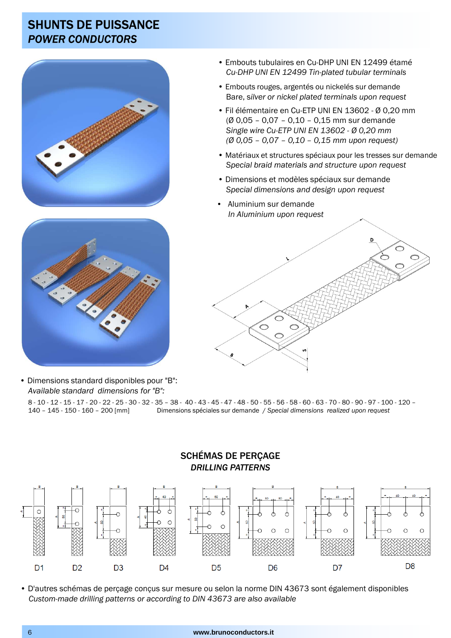### SHUNTS DE PUISSANCE *POWER CONDUCTORS*





• Dimensions standard disponibles pour "B": *Available standard dimensions for "B":*

8 - 10 - 12 - 15 - 17 - 20 - 22 - 25 - 30 - 32 - 35 – 38 - 40 - 43 - 45 - 47 - 48 - 50 - 55 - 56 - 58 - 60 - 63 - 70 - 80 - 90 - 97 - 100 - 120 – 140 – 145 - 150 - 160 – 200 [mm] Dimensions spéciales sur demande / *Special dimensions realized upon request*



• D'autres schémas de perçage conçus sur mesure ou selon la norme DIN 43673 sont également disponibles *Custom-made drilling patterns or according to DIN 43673 are also available*

- Embouts tubulaires en Cu-DHP UNI EN 12499 étamé *Cu-DHP UNI EN 12499 Tin-plated tubular terminals*
- Embouts rouges, argentés ou nickelés sur demande Bare, s*ilver or nickel plated terminals upon request*
- Fil élémentaire en Cu-ETP UNI EN 13602 Ø 0,20 mm (Ø 0,05 – 0,07 – 0,10 – 0,15 mm sur demande *Single wire Cu-ETP UNI EN 13602 - Ø 0,20 mm (Ø 0,05 – 0,07 – 0,10 – 0,15 mm upon request)*
- Matériaux et structures spéciaux pour les tresses sur demande *Special braid materials and structure upon request*
- Dimensions et modèles spéciaux sur demande *Special dimensions and design upon request*
- Aluminium sur demande *In Aluminium upon request*

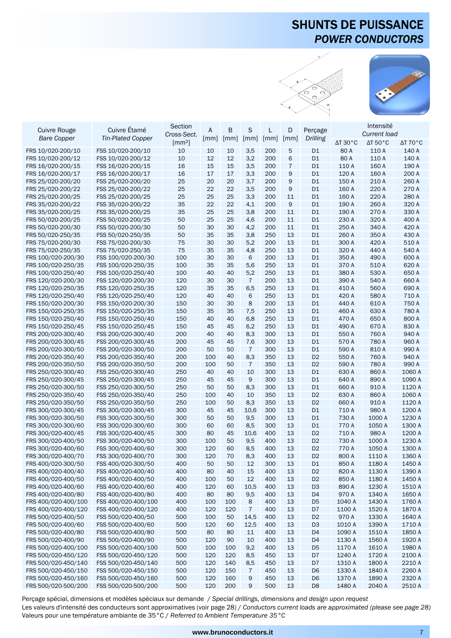# SHUNTS DE PUISSANCE *POWER CONDUCTORS*





|                                        |                                            | Section                    |     |                    |                       |                    |                    |                | Intensité                  |                            |                            |
|----------------------------------------|--------------------------------------------|----------------------------|-----|--------------------|-----------------------|--------------------|--------------------|----------------|----------------------------|----------------------------|----------------------------|
| <b>Cuivre Rouge</b>                    | Cuivre Étamé                               | Cross-Sect.                | A   | B                  | S                     | L                  | D                  | Perçage        |                            | Current load               |                            |
| <b>Bare Copper</b>                     | <b>Tin-Plated Copper</b>                   | $\left[\text{mm}^2\right]$ | mm  | $\lceil mm \rceil$ | $\lceil mm \rceil$    | $\lceil mm \rceil$ | $\lceil mm \rceil$ | Drilling       | $\Delta T$ 30 $^{\circ}$ C | $\Delta T$ 50 $^{\circ}$ C | $\Delta T$ 70 $^{\circ}$ C |
| FRS 10/020-200/10                      | FSS 10/020-200/10                          | 10                         | 10  | 10                 | 3,5                   | 200                | 5                  | D <sub>1</sub> | 80 A                       | 110 A                      | 140 A                      |
|                                        | FSS 10/020-200/12                          | 10                         | 12  | 12                 | 3,2                   |                    | 6                  | D <sub>1</sub> | 80 A                       | 110 A                      | 140 A                      |
| FRS 10/020-200/12                      | FSS 16/020-200/15                          |                            | 15  | 15                 |                       | 200<br>200         | $\overline{7}$     | D <sub>1</sub> | 110 A                      | 160 A                      | 190 A                      |
| FRS 16/020-200/15<br>FRS 16/020-200/17 | FSS 16/020-200/17                          | 16<br>16                   | 17  | 17                 | 3,5                   |                    | 9                  | D <sub>1</sub> | 120 A                      | 160 A                      | 200 A                      |
|                                        |                                            |                            |     |                    | 3,3                   | 200                |                    |                |                            |                            |                            |
| FRS 25/020-200/20                      | FSS 25/020-200/20                          | 25                         | 20  | 20                 | 3,7                   | 200                | 9                  | D <sub>1</sub> | 150 A                      | 210 A                      | 260 A                      |
| FRS 25/020-200/22                      | FSS 25/020-200/22                          | 25                         | 22  | 22                 | 3,5                   | 200                | 9                  | D <sub>1</sub> | 160 A                      | 220 A                      | 270 A                      |
| FRS 25/020-200/25                      | FSS 25/020-200/25                          | 25                         | 25  | 25                 | 3,3                   | 200                | 11                 | D <sub>1</sub> | 160 A                      | 220 A                      | 280 A                      |
| FRS 35/020-200/22                      | FSS 35/020-200/22                          | 35                         | 22  | 22                 | 4,1                   | 200                | 9                  | D <sub>1</sub> | 190 A                      | 260 A                      | 320 A                      |
| FRS 35/020-200/25                      | FSS 35/020-200/25                          | 35                         | 25  | 25                 | 3,8                   | 200                | 11                 | D <sub>1</sub> | 190 A                      | 270 A                      | 330 A                      |
| FRS 50/020-200/25                      | FSS 50/020-200/25                          | 50                         | 25  | 25                 | 4,6                   | 200                | 11                 | D <sub>1</sub> | 230 A                      | 320 A                      | 400 A                      |
| FRS 50/020-200/30                      | FSS 50/020-200/30                          | 50                         | 30  | 30                 | 4,2                   | 200                | 11                 | D <sub>1</sub> | 250 A                      | 340 A                      | 420 A                      |
| FRS 50/020-250/35                      | FSS 50/020-250/35                          | 50                         | 35  | 35                 | 3,8                   | 250                | 13                 | D <sub>1</sub> | 260 A                      | 350 A                      | 430 A                      |
| FRS 75/020-200/30                      | FSS 75/020-200/30                          | 75                         | 30  | 30                 | 5,2                   | 200                | 13                 | D <sub>1</sub> | 300 A                      | 420 A                      | 510 A                      |
| FRS 75/020-250/35                      | FSS 75/020-250/35                          | 75                         | 35  | 35                 | 4,8                   | 250                | 13                 | D <sub>1</sub> | 320 A                      | 440 A                      | 540 A                      |
| FRS 100/020-200/30                     | FSS 100/020-200/30                         | 100                        | 30  | 30                 | 6                     | 200                | 13                 | D <sub>1</sub> | 350 A                      | 490 A                      | 600 A                      |
| FRS 100/020-250/35                     | FSS 100/020-250/35                         | 100                        | 35  | 35                 | 5,6                   | 250                | 13                 | D <sub>1</sub> | 370 A                      | 510 A                      | 620 A                      |
| FRS 100/020-250/40                     | FSS 100/020-250/40                         | 100                        | 40  | 40                 | 5,2                   | 250                | 13                 | D <sub>1</sub> | 380 A                      | 530 A                      | 650 A                      |
| FRS 120/020-200/30                     | FSS 120/020-200/30                         | 120                        | 30  | 30                 | $\overline{7}$        | 200                | 13                 | D <sub>1</sub> | 390 A                      | 540 A                      | 660 A                      |
| FRS 120/020-250/35                     | FSS 120/020-250/35                         | 120                        | 35  | 35                 | 6,5                   | 250                | 13                 | D <sub>1</sub> | 410 A                      | 560 A                      | 690 A                      |
| FRS 120/020-250/40                     | FSS 120/020-250/40                         | 120                        | 40  | 40                 | 6                     | 250                | 13                 | D <sub>1</sub> | 420 A                      | 580 A                      | 710 A                      |
| FRS 150/020-200/30                     | FSS 150/020-200/30                         | 150                        | 30  | 30                 | 8                     | 200                | 13                 | D <sub>1</sub> | 440 A                      | 610 A                      | 750 A                      |
| FRS 150/020-250/35                     | FSS 150/020-250/35                         | 150                        | 35  | 35                 | 7,5                   | 250                | 13                 | D <sub>1</sub> | 460 A                      | 630 A                      | 780 A                      |
| FRS 150/020-250/40                     | FSS 150/020-250/40                         | 150                        | 40  | 40                 | 6,8                   | 250                | 13                 | D <sub>1</sub> | 470 A                      | 650 A                      | 800 A                      |
| FRS 150/020-250/45                     | FSS 150/020-250/45                         | 150                        | 45  | 45                 | 6,2                   | 250                | 13                 | D <sub>1</sub> | 490 A                      | 670 A                      | 830 A                      |
| FRS 200/020-300/40                     | FSS 200/020-300/40                         | 200                        | 40  | 40                 | 8,3                   | 300                | 13                 | D <sub>1</sub> | 550 A                      | 760 A                      | 940 A                      |
| FRS 200/020-300/45                     | FSS 200/020-300/45                         | 200                        | 45  | 45                 | 7,6                   | 300                | 13                 | D <sub>1</sub> | 570 A                      | 780 A                      | 960 A                      |
| FRS 200/020-300/50                     | FSS 200/020-300/50                         | 200                        | 50  | 50                 | $\overline{7}$        | 300                | 13                 | D <sub>1</sub> | 590 A                      | 810 A                      | 990 A                      |
| FRS 200/020-350/40                     | FSS 200/020-350/40                         | 200                        | 100 | 40                 | 8,3                   | 350                | 13                 | D <sub>2</sub> | 550 A                      | 760 A                      | 940 A                      |
| FRS 200/020-350/50                     | FSS 200/020-350/50                         | 200                        | 100 | 50                 | $\overline{7}$        | 350                | 13                 | D <sub>2</sub> | 590 A                      | 780 A                      | 990 A                      |
| FRS 250/020-300/40                     | FSS 250/020-300/40                         | 250                        | 40  | 40                 | 10                    | 300                | 13                 | D <sub>1</sub> | 630 A                      | 860 A                      | 1060 A                     |
| FRS 250/020-300/45                     | FSS 250/020-300/45                         | 250                        | 45  | 45                 | 9                     | 300                | 13                 | D <sub>1</sub> | 640 A                      | 890 A                      | 1090 A                     |
| FRS 250/020-300/50                     | FSS 250/020-300/50                         | 250                        | 50  | 50                 | 8,3                   | 300                | 13                 | D <sub>1</sub> | 660 A                      | 910 A                      | 1120 A                     |
| FRS 250/020-350/40                     | FSS 250/020-350/40                         | 250                        | 100 | 40                 | 10                    | 350                | 13                 | D <sub>2</sub> | 630 A                      | 860 A                      | 1060 A                     |
| FRS 250/020-350/50                     | FSS 250/020-350/50                         | 250                        | 100 | 50                 | 8,3                   | 350                | 13                 | D <sub>2</sub> | 660 A                      | 910 A                      | 1120 A                     |
| FRS 300/020-300/45                     | FSS 300/020-300/45                         | 300                        | 45  | 45                 | 10,6                  | 300                | 13                 | D <sub>1</sub> | 710 A                      | 980 A                      | 1200 A                     |
| FRS 300/020-300/50                     | FSS 300/020-300/50                         | 300                        | 50  | 50                 | 9,5                   | 300                | 13                 | D <sub>1</sub> | 730 A                      | 1000 A                     | 1230 A                     |
| FRS 300/020-300/60                     | FSS 300/020-300/60                         | 300                        | 60  | 60                 | 8,5                   | 300                | 13                 | D <sub>1</sub> | 770 A                      | 1050 A                     | 1300 A                     |
| FRS 300/020-400/45                     | FSS 300/020-400/45                         | 300                        | 80  | 45                 | 10,6                  | 400                | 13                 | D <sub>2</sub> | 710 A                      | 980 A                      | 1200 A                     |
| FRS 300/020-400/50                     | FSS 300/020-400/50                         | 300                        | 100 | 50                 | 9,5                   | 400                | 13                 | D <sub>2</sub> | 730 A                      | 1000 A                     | 1230 A                     |
| FRS 300/020-400/60                     | FSS 300/020-400/60                         | 300                        | 120 | 60                 | 8,5                   | 400                | 13                 | D <sub>2</sub> | 770 A                      | 1050 A                     | 1300 A                     |
| FRS 300/020-400/70                     | FSS 300/020-400/70                         | 300                        | 120 | 70                 | 8,3                   | 400                | 13                 | D <sub>2</sub> | 800 A                      | 1110 A                     | 1360 A                     |
| FRS 400/020-300/50                     | FSS 400/020-300/50                         | 400                        | 50  | 50                 | 12                    | 300                | 13                 | D1             | 850 A                      | 1180 A                     | 1450 A                     |
| FRS 400/020-400/40                     | FSS 400/020-400/40                         | 400                        | 80  | 40                 | 15                    | 400                | 13                 | D <sub>2</sub> | 820 A                      | 1130 A                     | 1390 A                     |
| FRS 400/020-400/50                     | FSS 400/020-400/50                         | 400                        | 100 | 50                 | 12                    | 400                | 13                 | D <sub>2</sub> | 850 A                      | 1180 A                     | 1450 A                     |
| FRS 400/020-400/60                     | FSS 400/020-400/60                         | 400                        | 120 | 60                 | 10,5                  | 400                | 13                 | D <sub>3</sub> | 890 A                      | 1230 A                     | 1510 A                     |
| FRS 400/020-400/80                     | FSS 400/020-400/80                         | 400                        | 80  | 80                 | 9,5                   | 400                | 13                 | D <sub>4</sub> | 970 A                      | 1340 A                     | 1650 A                     |
| FRS 400/020-400/100                    | FSS 400/020-400/100                        | 400                        | 100 | 100                | 8                     | 400                | 13                 | D <sub>5</sub> | 1040 A                     | 1430 A                     | 1760 A                     |
| FRS 400/020-400/120                    | FSS 400/020-400/120                        | 400                        | 120 | 120                | $\overline{7}$        | 400                | 13                 | D7             | 1100 A                     | 1520 A                     | 1870 A                     |
| FRS 500/020-400/50                     | FSS 500/020-400/50                         | 500                        | 100 | 50                 | 14,5                  | 400                | 13                 | D <sub>2</sub> | 970 A                      | 1330 A                     | 1640 A                     |
| FRS 500/020-400/60                     | FSS 500/020-400/60                         | 500                        | 120 | 60                 | 12,5                  | 400                | 13                 | D <sub>3</sub> | 1010 A                     | 1390 A                     | 1710 A                     |
| FRS 500/020-400/80                     | FSS 500/020-400/80                         | 500                        | 80  | 80                 | 11                    | 400                | 13                 | D <sub>4</sub> | 1090 A                     | 1510 A                     | 1850 A                     |
| FRS 500/020-400/90                     | FSS 500/020-400/90                         | 500                        | 120 | 90                 | 10                    | 400                | 13                 | D <sub>4</sub> | 1130 A                     | 1560 A                     | 1920 A                     |
| FRS 500/020-400/100                    | FSS 500/020-400/100                        | 500                        | 100 | 100                | 9,2                   | 400                | 13                 | D <sub>5</sub> | 1170 A                     | 1610 A                     | 1980 A                     |
| FRS 500/020-450/120                    | FSS 500/020-450/120                        | 500                        | 120 | 120                | 8,5                   | 450                | 13                 | D7             | 1240 A                     | 1720 A                     | 2100 A                     |
|                                        |                                            |                            |     |                    |                       |                    | 13                 |                | 1310 A                     |                            | 2210 A                     |
| FRS 500/020-450/140                    | FSS 500/020-450/140<br>FSS 500/020-450/150 | 500<br>500                 | 120 | 140                | 8,5<br>$\overline{7}$ | 450                | 13                 | D7             | 1330 A                     | 1800 A<br>1840 A           | 2260 A                     |
| FRS 500/020-450/150                    |                                            |                            | 120 | 150                |                       | 450                |                    | D <sub>6</sub> |                            |                            |                            |
| FRS 500/020-450/160                    | FSS 500/020-450/160                        | 500                        | 120 | 160                | 9                     | 450                | 13                 | D <sub>6</sub> | 1370 A                     | 1890 A                     | 2320 A                     |
| FRS 500/020-500/200                    | FSS 500/020-500/200                        | 500                        | 120 | 200                | 9                     | 500                | 13                 | D <sub>8</sub> | 1480 A                     | 2040 A                     | 2510 A                     |

Perçage spécial, dimensions et modèles spéciaux sur demande / *Special drillings, dimensions and design upon request* Les valeurs d'intensité des conducteurs sont approximatives (voir page 28) / *Conductors current loads are approximated (please see page 28)* Valeurs pour une température ambiante de 35°C / *Referred to Ambient Temperature 35°C*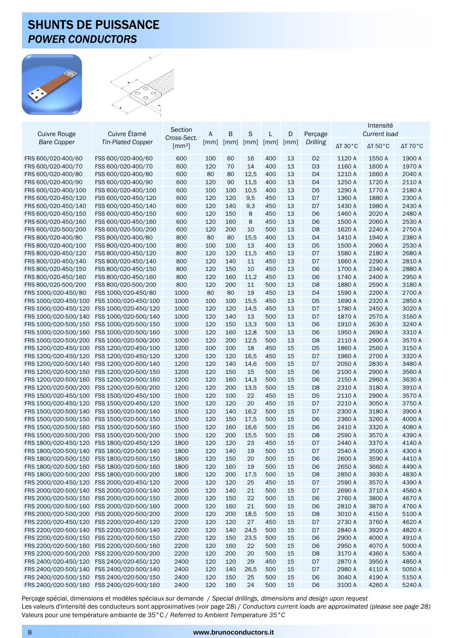### SHUNTS DE PUISSANCE *POWER CONDUCTORS*



|                                              |                                              | Section                    |                    |            |                    |            |          |                                  | Intensité                  |                            |                            |
|----------------------------------------------|----------------------------------------------|----------------------------|--------------------|------------|--------------------|------------|----------|----------------------------------|----------------------------|----------------------------|----------------------------|
| <b>Cuivre Rouge</b>                          | Cuivre Étamé                                 |                            | A                  | B          | S                  | L          | D        | Perçage                          |                            | <b>Current load</b>        |                            |
| <b>Bare Copper</b>                           | <b>Tin-Plated Copper</b>                     | Cross-Sect.                | $\lceil mm \rceil$ | mm         | $\lceil mm \rceil$ | mm         | mm       | Drilling                         | $\Delta T$ 30 $^{\circ}$ C |                            |                            |
|                                              |                                              | $\left[\text{mm}^2\right]$ |                    |            |                    |            |          |                                  |                            | $\Delta T$ 50 $^{\circ}$ C | $\Delta T$ 70 $^{\circ}$ C |
| FRS 600/020-400/60                           | FSS 600/020-400/60                           | 600                        | 100                | 60         | 16                 | 400        | 13       | D <sub>2</sub>                   | 1120 A                     | 1550 A                     | 1900 A                     |
| FRS 600/020-400/70                           | FSS 600/020-400/70                           | 600                        | 120                | 70         | 14                 | 400        | 13       | D <sub>3</sub>                   | 1160 A                     | 1600 A                     | 1970 A                     |
| FRS 600/020-400/80                           | FSS 600/020-400/80                           | 600                        | 80                 | 80         | 12,5               | 400        | 13       | D <sub>4</sub>                   | 1210 A                     | 1660 A                     | 2040 A                     |
| FRS 600/020-400/90                           | FSS 600/020-400/90                           | 600                        | 120                | 90         | 11,5               | 400        | 13       | D <sub>4</sub>                   | 1250 A                     | 1720 A                     | 2110 A                     |
| FRS 600/020-400/100                          | FSS 600/020-400/100                          | 600                        | 100                | 100        | 10,5               | 400        | 13       | D <sub>5</sub>                   | 1290 A                     | 1770 A                     | 2180 A                     |
| FRS 600/020-450/120                          | FSS 600/020-450/120                          | 600                        | 120                | 120        | 9,5                | 450        | 13       | D7                               | 1360 A                     | 1880 A                     | 2300 A                     |
| FRS 600/020-450/140                          | FSS 600/020-450/140                          | 600                        | 120                | 140        | 9,3                | 450        | 13       | D7                               | 1430 A                     | 1980 A                     | 2430 A                     |
| FRS 600/020-450/150                          | FSS 600/020-450/150                          | 600                        | 120                | 150        | 8                  | 450        | 13       | D <sub>6</sub>                   | 1460 A                     | 2020 A                     | 2480 A                     |
| FRS 600/020-450/160                          | FSS 600/020-450/160                          | 600                        | 120                | 160        | 8                  | 450        | 13       | D <sub>6</sub>                   | 1500 A                     | 2060 A                     | 2530 A                     |
| FRS 600/020-500/200                          | FSS 600/020-500/200                          | 600                        | 120                | 200        | 10                 | 500        | 13       | D <sub>8</sub>                   | 1620 A                     | 2240 A                     | 2750 A                     |
| FRS 800/020-400/80                           | FSS 800/020-400/80                           | 800                        | 80                 | 80         | 15,5               | 400        | 13       | D <sub>4</sub>                   | 1410 A                     | 1940 A                     | 2380 A                     |
| FRS 800/020-400/100                          | FSS 800/020-400/100                          | 800                        | 100                | 100        | 13                 | 400        | 13       | D <sub>5</sub>                   | 1500 A                     | 2060 A                     | 2530 A                     |
| FRS 800/020-450/120                          | FSS 800/020-450/120                          | 800                        | 120                | 120        | 11,5               | 450        | 13       | D7                               | 1580 A                     | 2180 A                     | 2680 A                     |
| FRS 800/020-450/140                          | FSS 800/020-450/140                          | 800                        | 120                | 140        | 11                 | 450        | 13       | D7                               | 1660 A                     | 2290 A                     | 2810 A                     |
| FRS 800/020-450/150                          | FSS 800/020-450/150                          | 800                        | 120                | 150        | 10                 | 450        | 13       | D <sub>6</sub>                   | 1700 A                     | 2340 A                     | 2880 A                     |
| FRS 800/020-450/160                          | FSS 800/020-450/160                          | 800                        | 120                | 160        | 11,2               | 450        | 13       | D <sub>6</sub>                   | 1740 A                     | 2400 A                     | 2950 A                     |
| FRS 800/020-500/200                          | FSS 800/020-500/200                          | 800                        | 120                | 200        | 11                 | 500        | 13       | D <sub>8</sub>                   | 1880 A                     | 2590 A                     | 3180 A                     |
| FRS 1000/020-450/80                          | FSS 1000/020-450/80                          | 1000                       | 80                 | 80         | 19                 | 450        | 13       | D <sub>4</sub>                   | 1590 A                     | 2200 A                     | 2700 A                     |
| FRS 1000/020-450/100                         | FSS 1000/020-450/100                         |                            |                    |            |                    |            |          |                                  | 1690 A                     | 2320 A                     | 2850 A                     |
| FRS 1000/020-450/120                         |                                              | 1000<br>1000               | 100<br>120         | 100        | 15,5<br>14,5       | 450        | 13<br>13 | D <sub>5</sub>                   | 1780 A                     | 2450 A                     | 3020 A                     |
|                                              | FSS 1000/020-450/120<br>FSS 1000/020-500/140 | 1000                       | 120                | 120        | 13                 | 450<br>500 | 13       | D7                               | 1870 A                     | 2570 A                     | 3160 A                     |
| FRS 1000/020-500/140                         |                                              |                            |                    | 140        |                    |            |          | D7                               | 1910 A                     |                            |                            |
| FRS 1000/020-500/150                         | FSS 1000/020-500/150                         | 1000                       | 120                | 150        | 13,3               | 500        | 13       | D <sub>6</sub>                   |                            | 2630 A                     | 3240 A                     |
| FRS 1000/020-500/160<br>FRS 1000/020-500/200 | FSS 1000/020-500/160                         | 1000                       | 120                | 160        | 12,8               | 500        | 13<br>13 | D <sub>6</sub>                   | 1950 A<br>2110 A           | 2690 A                     | 3310 A                     |
|                                              | FSS 1000/020-500/200                         | 1000                       | 120                | 200        | 12,5               | 500        |          | D <sub>8</sub>                   | 1860 A                     | 2900 A                     | 3570 A                     |
| FRS 1200/020-450/100                         | FSS 1200/020-450/100                         | 1200                       | 100                | 100        | 18                 | 450        | 15       | D <sub>5</sub>                   | 1960 A                     | 2560 A<br>2700 A           | 3150 A<br>3320 A           |
| FRS 1200/020-450/120                         | FSS 1200/020-450/120                         | 1200                       | 120                | 120        | 16,5<br>14,6       | 450        | 15       | D7                               | 2050 A                     |                            | 3480 A                     |
| FRS 1200/020-500/140                         | FSS 1200/020-500/140                         | 1200<br>1200               | 120<br>120         | 140        | 15                 | 500<br>500 | 15<br>15 | D7                               | 2100 A                     | 2830 A<br>2900 A           | 3560 A                     |
| FRS 1200/020-500/150<br>FRS 1200/020-500/160 | FSS 1200/020-500/150<br>FSS 1200/020-500/160 | 1200                       | 120                | 150<br>160 | 14,3               | 500        | 15       | D <sub>6</sub><br>D <sub>6</sub> | 2150 A                     | 2960 A                     | 3630 A                     |
|                                              |                                              | 1200                       | 120                |            |                    | 500        | 15       |                                  | 2310 A                     | 3180 A                     | 3910 A                     |
| FRS 1200/020-500/200<br>FRS 1500/020-450/100 | FSS 1200/020-500/200<br>FSS 1500/020-450/100 | 1500                       | 120                | 200<br>100 | 13,5<br>22         | 450        | 15       | D <sub>8</sub><br>D <sub>5</sub> | 2110 A                     | 2900 A                     | 3570 A                     |
| FRS 1500/020-450/120                         | FSS 1500/020-450/120                         | 1500                       | 120                | 120        | 20                 | 450        | 15       | D7                               | 2210 A                     | 3050 A                     | 3750 A                     |
| FRS 1500/020-500/140                         | FSS 1500/020-500/140                         | 1500                       | 120                | 140        | 16,2               | 500        | 15       | D7                               | 2300 A                     | 3180 A                     | 3900 A                     |
| FRS 1500/020-500/150                         | FSS 1500/020-500/150                         | 1500                       | 120                | 150        | 17,5               | 500        | 15       | D <sub>6</sub>                   | 2360 A                     | 3260 A                     | 4000 A                     |
| FRS 1500/020-500/160                         | FSS 1500/020-500/160                         | 1500                       | 120                | 160        | 16,6               | 500        | 15       | D <sub>6</sub>                   | 2410 A                     | 3320 A                     | 4080 A                     |
| FRS 1500/020-500/200                         | FSS 1500/020-500/200                         | 1500                       | 120                | 200        | 15,5               | 500        | 15       | D <sub>8</sub>                   | 2590 A                     | 3570 A                     | 4390 A                     |
| FRS 1800/020-450/120                         | FSS 1800/020-450/120                         | 1800                       | 120                | 120        | 23                 | 450        | 15       | D7                               | 2440 A                     | 3370 A                     | 4140 A                     |
| FRS 1800/020-500/140                         | FSS 1800/020-500/140                         | 1800                       | 120                | 140        | 19                 | 500        | 15       | D7                               | 2540 A                     | 3500 A                     | 4300 A                     |
|                                              | FSS 1800/020-500/150                         | 1800                       | 120                | 150        | 20                 | 500        | 15       | D <sub>6</sub>                   | 2600 A                     | 3590 A                     | 4410 A                     |
| FRS 1800/020-500/150<br>FRS 1800/020-500/160 | FSS 1800/020-500/160                         | 1800                       | 120                | 160        | 19                 | 500        | 15       | D <sub>6</sub>                   | 2650 A                     | 3660 A                     | 4490 A                     |
| FRS 1800/020-500/200                         | FSS 1800/020-500/200                         | 1800                       | 120                | 200        | 17,5               | 500        | 15       | D <sub>8</sub>                   | 2850 A                     | 3930 A                     | 4830 A                     |
| FRS 2000/020-450/120                         | FSS 2000/020-450/120                         | 2000                       | 120                | 120        | 25                 | 450        | 15       | D7                               | 2590 A                     | 3570 A                     | 4390 A                     |
| FRS 2000/020-500/140                         | FSS 2000/020-500/140                         | 2000                       | 120                | 140        | 21                 | 500        | 15       | D7                               | 2690 A                     | 3710 A                     | 4560 A                     |
| FRS 2000/020-500/150                         | FSS 2000/020-500/150                         | 2000                       | 120                | 150        | 22                 | 500        | 15       | D <sub>6</sub>                   | 2760 A                     | 3800 A                     | 4670 A                     |
| FRS 2000/020-500/160                         | FSS 2000/020-500/160                         | 2000                       | 120                | 160        | 21                 | 500        | 15       | D <sub>6</sub>                   | 2810 A                     | 3870 A                     | 4760 A                     |
| FRS 2000/020-500/200                         | FSS 2000/020-500/200                         | 2000                       | 120                | 200        | 18,5               | 500        | 15       | D <sub>8</sub>                   | 3010 A                     | 4150 A                     | 5100 A                     |
| FRS 2200/020-450/120                         | FSS 2200/020-450/120                         |                            |                    |            | 27                 |            | 15       |                                  |                            |                            |                            |
| FRS 2200/020-500/140                         | FSS 2200/020-500/140                         | 2200<br>2200               | 120<br>120         | 120<br>140 | 24,5               | 450<br>500 | 15       | D7<br>D7                         | 2730 A<br>2840 A           | 3760 A<br>3920 A           | 4620 A<br>4820 A           |
| FRS 2200/020-500/150                         | FSS 2200/020-500/150                         | 2200                       | 120                | 150        | 23,5               | 500        | 15       | D <sub>6</sub>                   | 2900 A                     | 4000 A                     | 4910 A                     |
| FRS 2200/020-500/160                         | FSS 2200/020-500/160                         |                            |                    |            |                    |            |          |                                  |                            | 4070 A                     | 5000 A                     |
| FRS 2200/020-500/200                         | FSS 2200/020-500/200                         | 2200<br>2200               | 120<br>120         | 160<br>200 | 22<br>20           | 500<br>500 | 15<br>15 | D <sub>6</sub><br>D <sub>8</sub> | 2950 A<br>3170 A           | 4360 A                     | 5360 A                     |
| FRS 2400/020-450/120                         | FSS 2400/020-450/120                         | 2400                       | 120                | 120        | 29                 | 450        | 15       | D7                               | 2870 A                     | 3950 A                     | 4850 A                     |
| FRS 2400/020-500/140                         | FSS 2400/020-500/140                         | 2400                       | 120                | 140        | 26,5               | 500        | 15       | D7                               | 2980 A                     | 4110 A                     | 5050 A                     |
| FRS 2400/020-500/150                         | FSS 2400/020-500/150                         | 2400                       | 120                | 150        | 25                 | 500        | 15       | D <sub>6</sub>                   | 3040 A                     | 4190 A                     | 5150 A                     |
| FRS 2400/020-500/160                         | FSS 2400/020-500/160                         | 2400                       | 120                | 160        | 24                 | 500        | 15       | D <sub>6</sub>                   | 3100 A                     | 4260 A                     | 5240 A                     |
|                                              |                                              |                            |                    |            |                    |            |          |                                  |                            |                            |                            |

Perçage spécial, dimensions et modèles spéciaux sur demande / *Special drillings, dimensions and design upon request* Les valeurs d'intensité des conducteurs sont approximatives (voir page 28) / *Conductors current loads are approximated (please see page 28)* Valeurs pour une température ambiante de 35°C / *Referred to Ambient Temperature 35°C*